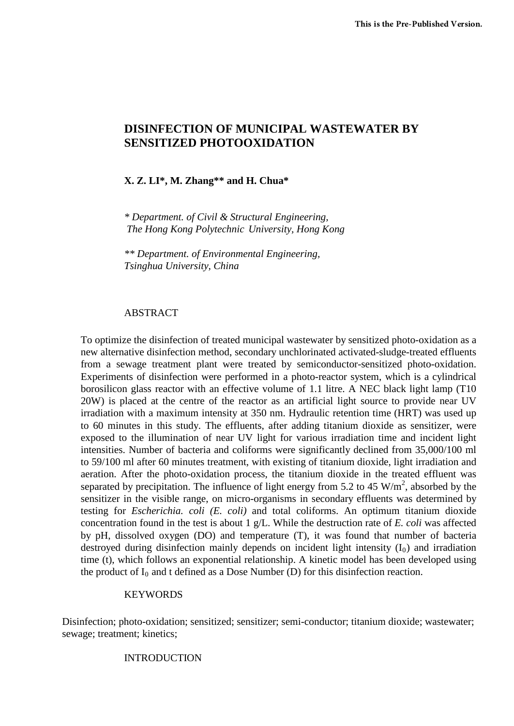# **DISINFECTION OF MUNICIPAL WASTEWATER BY SENSITIZED PHOTOOXIDATION**

### **X. Z. LI\*, M. Zhang\*\* and H. Chua\***

 *\* Department. of Civil & Structural Engineering, The Hong Kong Polytechnic University, Hong Kong* 

 *\*\* Department. of Environmental Engineering, Tsinghua University, China* 

### ABSTRACT

To optimize the disinfection of treated municipal wastewater by sensitized photo-oxidation as a new alternative disinfection method, secondary unchlorinated activated-sludge-treated effluents from a sewage treatment plant were treated by semiconductor-sensitized photo-oxidation. Experiments of disinfection were performed in a photo-reactor system, which is a cylindrical borosilicon glass reactor with an effective volume of 1.1 litre. A NEC black light lamp (T10 20W) is placed at the centre of the reactor as an artificial light source to provide near UV irradiation with a maximum intensity at 350 nm. Hydraulic retention time (HRT) was used up to 60 minutes in this study. The effluents, after adding titanium dioxide as sensitizer, were exposed to the illumination of near UV light for various irradiation time and incident light intensities. Number of bacteria and coliforms were significantly declined from 35,000/100 ml to 59/100 ml after 60 minutes treatment, with existing of titanium dioxide, light irradiation and aeration. After the photo-oxidation process, the titanium dioxide in the treated effluent was separated by precipitation. The influence of light energy from 5.2 to 45  $W/m<sup>2</sup>$ , absorbed by the sensitizer in the visible range, on micro-organisms in secondary effluents was determined by testing for *Escherichia. coli (E. coli)* and total coliforms. An optimum titanium dioxide concentration found in the test is about 1 g/L. While the destruction rate of *E. coli* was affected by pH, dissolved oxygen (DO) and temperature (T), it was found that number of bacteria destroyed during disinfection mainly depends on incident light intensity  $(I_0)$  and irradiation time (t), which follows an exponential relationship. A kinetic model has been developed using the product of  $I_0$  and t defined as a Dose Number (D) for this disinfection reaction.

### KEYWORDS

Disinfection; photo-oxidation; sensitized; sensitizer; semi-conductor; titanium dioxide; wastewater; sewage; treatment; kinetics;

## INTRODUCTION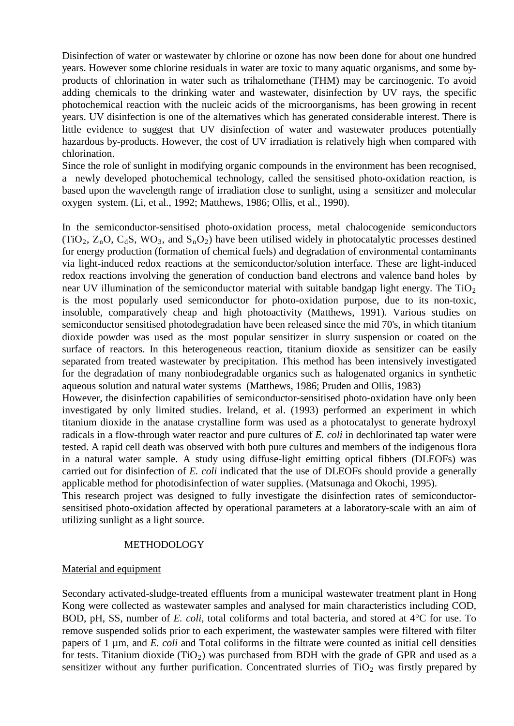Disinfection of water or wastewater by chlorine or ozone has now been done for about one hundred years. However some chlorine residuals in water are toxic to many aquatic organisms, and some byproducts of chlorination in water such as trihalomethane (THM) may be carcinogenic. To avoid adding chemicals to the drinking water and wastewater, disinfection by UV rays, the specific photochemical reaction with the nucleic acids of the microorganisms, has been growing in recent years. UV disinfection is one of the alternatives which has generated considerable interest. There is little evidence to suggest that UV disinfection of water and wastewater produces potentially hazardous by-products. However, the cost of UV irradiation is relatively high when compared with chlorination.

Since the role of sunlight in modifying organic compounds in the environment has been recognised, a newly developed photochemical technology, called the sensitised photo-oxidation reaction, is based upon the wavelength range of irradiation close to sunlight, using a sensitizer and molecular oxygen system. (Li, et al., 1992; Matthews, 1986; Ollis, et al., 1990).

In the semiconductor-sensitised photo-oxidation process, metal chalocogenide semiconductors (TiO<sub>2</sub>,  $Z_n$ O, C<sub>d</sub>S, WO<sub>3</sub>, and S<sub>n</sub>O<sub>2</sub>) have been utilised widely in photocatalytic processes destined for energy production (formation of chemical fuels) and degradation of environmental contaminants via light-induced redox reactions at the semiconductor/solution interface. These are light-induced redox reactions involving the generation of conduction band electrons and valence band holes by near UV illumination of the semiconductor material with suitable bandgap light energy. The  $TiO<sub>2</sub>$ is the most popularly used semiconductor for photo-oxidation purpose, due to its non-toxic, insoluble, comparatively cheap and high photoactivity (Matthews, 1991). Various studies on semiconductor sensitised photodegradation have been released since the mid 70's, in which titanium dioxide powder was used as the most popular sensitizer in slurry suspension or coated on the surface of reactors. In this heterogeneous reaction, titanium dioxide as sensitizer can be easily separated from treated wastewater by precipitation. This method has been intensively investigated for the degradation of many nonbiodegradable organics such as halogenated organics in synthetic aqueous solution and natural water systems (Matthews, 1986; Pruden and Ollis, 1983)

However, the disinfection capabilities of semiconductor-sensitised photo-oxidation have only been investigated by only limited studies. Ireland, et al. (1993) performed an experiment in which titanium dioxide in the anatase crystalline form was used as a photocatalyst to generate hydroxyl radicals in a flow-through water reactor and pure cultures of *E. coli* in dechlorinated tap water were tested. A rapid cell death was observed with both pure cultures and members of the indigenous flora in a natural water sample. A study using diffuse-light emitting optical fibbers (DLEOFs) was carried out for disinfection of *E. coli* indicated that the use of DLEOFs should provide a generally applicable method for photodisinfection of water supplies. (Matsunaga and Okochi, 1995).

This research project was designed to fully investigate the disinfection rates of semiconductorsensitised photo-oxidation affected by operational parameters at a laboratory-scale with an aim of utilizing sunlight as a light source.

### METHODOLOGY

### Material and equipment

Secondary activated-sludge-treated effluents from a municipal wastewater treatment plant in Hong Kong were collected as wastewater samples and analysed for main characteristics including COD, BOD, pH, SS, number of *E. coli*, total coliforms and total bacteria, and stored at 4°C for use. To remove suspended solids prior to each experiment, the wastewater samples were filtered with filter papers of 1 µm, and *E. coli* and Total coliforms in the filtrate were counted as initial cell densities for tests. Titanium dioxide (TiO 2) was purchased from BDH with the grade of GPR and used as a sensitizer without any further purification. Concentrated slurries of  $TiO<sub>2</sub>$  was firstly prepared by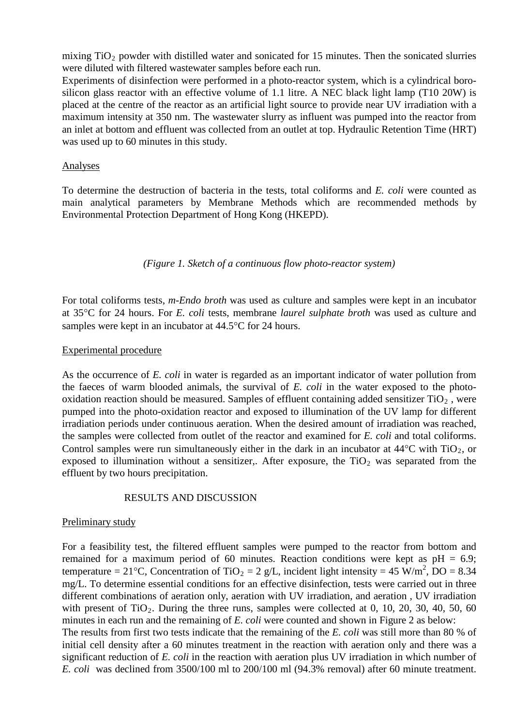mixing  $TiO<sub>2</sub>$  powder with distilled water and sonicated for 15 minutes. Then the sonicated slurries were diluted with filtered wastewater samples before each run.

Experiments of disinfection were performed in a photo-reactor system, which is a cylindrical borosilicon glass reactor with an effective volume of 1.1 litre. A NEC black light lamp (T10 20W) is placed at the centre of the reactor as an artificial light source to provide near UV irradiation with a maximum intensity at 350 nm. The wastewater slurry as influent was pumped into the reactor from an inlet at bottom and effluent was collected from an outlet at top. Hydraulic Retention Time (HRT) was used up to 60 minutes in this study.

### Analyses

To determine the destruction of bacteria in the tests, total coliforms and *E. coli* were counted as main analytical parameters by Membrane Methods which are recommended methods by Environmental Protection Department of Hong Kong (HKEPD).

### *(Figure 1. Sketch of a continuous flow photo-reactor system)*

For total coliforms tests, *m-Endo broth* was used as culture and samples were kept in an incubator at 35°C for 24 hours. For *E. coli* tests, membrane *laurel sulphate broth* was used as culture and samples were kept in an incubator at 44.5°C for 24 hours.

### Experimental procedure

As the occurrence of *E. coli* in water is regarded as an important indicator of water pollution from the faeces of warm blooded animals, the survival of *E. coli* in the water exposed to the photooxidation reaction should be measured. Samples of effluent containing added sensitizer  $TiO<sub>2</sub>$ , were pumped into the photo-oxidation reactor and exposed to illumination of the UV lamp for different irradiation periods under continuous aeration. When the desired amount of irradiation was reached, the samples were collected from outlet of the reactor and examined for *E. coli* and total coliforms. Control samples were run simultaneously either in the dark in an incubator at  $44^{\circ}$ C with TiO<sub>2</sub>, or exposed to illumination without a sensitizer,. After exposure, the  $TiO<sub>2</sub>$  was separated from the effluent by two hours precipitation.

### RESULTS AND DISCUSSION

### Preliminary study

For a feasibility test, the filtered effluent samples were pumped to the reactor from bottom and remained for a maximum period of 60 minutes. Reaction conditions were kept as  $pH = 6.9$ ; temperature = 21°C, Concentration of TiO<sub>2</sub> = 2 g/L, incident light intensity = 45 W/m<sup>2</sup>, DO = 8.34 mg/L. To determine essential conditions for an effective disinfection, tests were carried out in three different combinations of aeration only, aeration with UV irradiation, and aeration , UV irradiation with present of  $TiO<sub>2</sub>$ . During the three runs, samples were collected at 0, 10, 20, 30, 40, 50, 60 The results from first two tests indicate that the remaining of the *E. coli* was still more than 80 % of initial cell density after a 60 minutes treatment in the reaction with aeration only and there was a significant reduction of *E. coli* in the reaction with aeration plus UV irradiation in which number of *E. coli* was declined from 3500/100 ml to 200/100 ml (94.3% removal) after 60 minute treatment. minutes in each run and the remaining of *E. coli* were counted and shown in Figure 2 as below: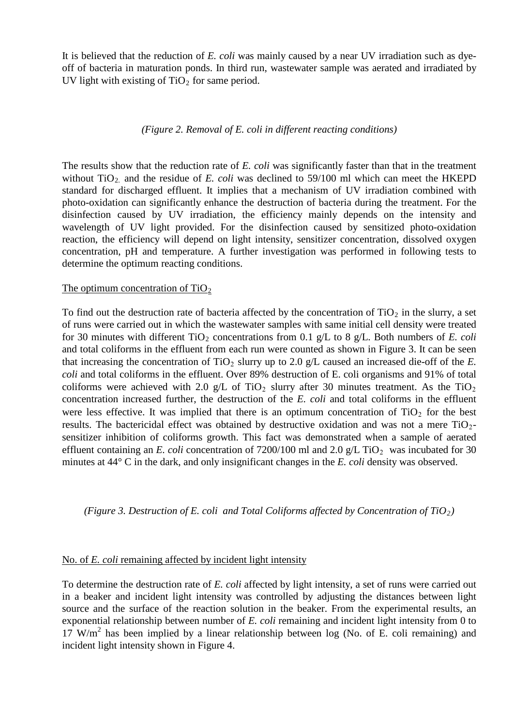It is believed that the reduction of *E. coli* was mainly caused by a near UV irradiation such as dyeoff of bacteria in maturation ponds. In third run, wastewater sample was aerated and irradiated by UV light with existing of  $TiO<sub>2</sub>$  for same period.

#### *(Figure 2. Removal of E. coli in different reacting conditions)*

The results show that the reduction rate of *E. coli* was significantly faster than that in the treatment without  $TiO<sub>2</sub>$  and the residue of *E. coli* was declined to 59/100 ml which can meet the HKEPD standard for discharged effluent. It implies that a mechanism of UV irradiation combined with photo-oxidation can significantly enhance the destruction of bacteria during the treatment. For the disinfection caused by UV irradiation, the efficiency mainly depends on the intensity and wavelength of UV light provided. For the disinfection caused by sensitized photo-oxidation reaction, the efficiency will depend on light intensity, sensitizer concentration, dissolved oxygen concentration, pH and temperature. A further investigation was performed in following tests to determine the optimum reacting conditions.

### The optimum concentration of  $TiO<sub>2</sub>$

To find out the destruction rate of bacteria affected by the concentration of  $TiO<sub>2</sub>$  in the slurry, a set of runs were carried out in which the wastewater samples with same initial cell density were treated for 30 minutes with different  $TiO<sub>2</sub>$  concentrations from 0.1 g/L to 8 g/L. Both numbers of *E. coli* and total coliforms in the effluent from each run were counted as shown in Figure 3. It can be seen that increasing the concentration of  $TiO<sub>2</sub>$  slurry up to 2.0 g/L caused an increased die-off of the *E*. *coli* and total coliforms in the effluent. Over 89% destruction of E. coli organisms and 91% of total coliforms were achieved with 2.0 g/L of TiO<sub>2</sub> slurry after 30 minutes treatment. As the TiO<sub>2</sub> concentration increased further, the destruction of the *E. coli* and total coliforms in the effluent were less effective. It was implied that there is an optimum concentration of  $TiO<sub>2</sub>$  for the best results. The bactericidal effect was obtained by destructive oxidation and was not a mere  $TiO<sub>2</sub>$ sensitizer inhibition of coliforms growth. This fact was demonstrated when a sample of aerated effluent containing an *E. coli* concentration of  $7200/100$  ml and  $2.0$  g/L TiO<sub>2</sub> was incubated for 30 minutes at 44° C in the dark, and only insignificant changes in the *E. coli* density was observed.

*(Figure 3. Destruction of E. coli and Total Coliforms affected by Concentration of TiO2)*

### No. of *E. coli* remaining affected by incident light intensity

To determine the destruction rate of *E. coli* affected by light intensity, a set of runs were carried out in a beaker and incident light intensity was controlled by adjusting the distances between light source and the surface of the reaction solution in the beaker. From the experimental results, an exponential relationship between number of *E. coli* remaining and incident light intensity from 0 to  $17 \text{ W/m}^2$  has been implied by a linear relationship between log (No. of E. coli remaining) and incident light intensity shown in Figure 4.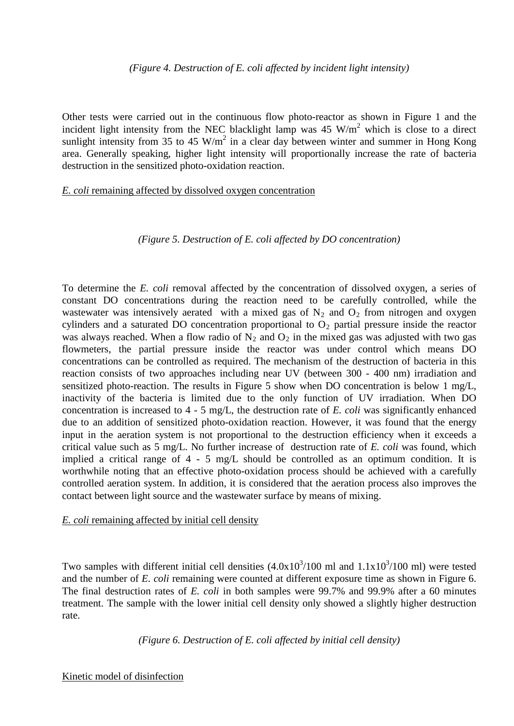Other tests were carried out in the continuous flow photo-reactor as shown in Figure 1 and the incident light intensity from the NEC blacklight lamp was  $45 \text{ W/m}^2$  which is close to a direct sunlight intensity from 35 to 45 W/m<sup>2</sup> in a clear day between winter and summer in Hong Kong area. Generally speaking, higher light intensity will proportionally increase the rate of bacteria destruction in the sensitized photo-oxidation reaction.

### *E. coli* remaining affected by dissolved oxygen concentration

#### *(Figure 5. Destruction of E. coli affected by DO concentration)*

To determine the *E. coli* removal affected by the concentration of dissolved oxygen, a series of constant DO concentrations during the reaction need to be carefully controlled, while the wastewater was intensively aerated with a mixed gas of  $N_2$  and  $O_2$  from nitrogen and oxygen cylinders and a saturated DO concentration proportional to  $O_2$  partial pressure inside the reactor was always reached. When a flow radio of  $N_2$  and  $O_2$  in the mixed gas was adjusted with two gas flowmeters, the partial pressure inside the reactor was under control which means DO concentrations can be controlled as required. The mechanism of the destruction of bacteria in this reaction consists of two approaches including near UV (between 300 - 400 nm) irradiation and sensitized photo-reaction. The results in Figure 5 show when DO concentration is below 1 mg/L, inactivity of the bacteria is limited due to the only function of UV irradiation. When DO concentration is increased to 4 - 5 mg/L, the destruction rate of *E. coli* was significantly enhanced due to an addition of sensitized photo-oxidation reaction. However, it was found that the energy input in the aeration system is not proportional to the destruction efficiency when it exceeds a critical value such as 5 mg/L. No further increase of destruction rate of *E. coli* was found, which implied a critical range of 4 - 5 mg/L should be controlled as an optimum condition. It is worthwhile noting that an effective photo-oxidation process should be achieved with a carefully controlled aeration system. In addition, it is considered that the aeration process also improves the contact between light source and the wastewater surface by means of mixing.

### *E. coli* remaining affected by initial cell density

Two samples with different initial cell densities  $(4.0x10^3/100 \text{ ml}$  and  $1.1x10^3/100 \text{ ml}$ ) were tested and the number of *E. coli* remaining were counted at different exposure time as shown in Figure 6. The final destruction rates of *E. coli* in both samples were 99.7% and 99.9% after a 60 minutes treatment. The sample with the lower initial cell density only showed a slightly higher destruction rate.

*(Figure 6. Destruction of E. coli affected by initial cell density)*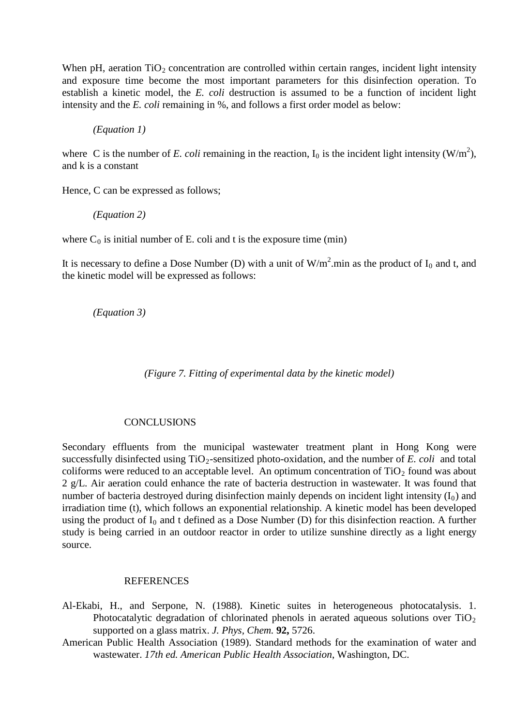When pH, aeration  $TiO<sub>2</sub>$  concentration are controlled within certain ranges, incident light intensity and exposure time become the most important parameters for this disinfection operation. To establish a kinetic model, the *E. coli* destruction is assumed to be a function of incident light intensity and the *E. coli* remaining in %, and follows a first order model as below:

*(Equation 1)*

where C is the number of *E. coli* remaining in the reaction,  $I_0$  is the incident light intensity (W/m<sup>2</sup>), and k is a constant

Hence, C can be expressed as follows;

*(Equation 2)* 

where  $C_0$  is initial number of E. coli and t is the exposure time (min)

It is necessary to define a Dose Number (D) with a unit of  $W/m^2$  min as the product of  $I_0$  and t, and the kinetic model will be expressed as follows:

*(Equation 3)*

*(Figure 7. Fitting of experimental data by the kinetic model)*

### **CONCLUSIONS**

Secondary effluents from the municipal wastewater treatment plant in Hong Kong were successfully disinfected using  $TiO<sub>2</sub>$ -sensitized photo-oxidation, and the number of *E. coli* and total coliforms were reduced to an acceptable level. An optimum concentration of  $TiO<sub>2</sub>$  found was about 2 g/L. Air aeration could enhance the rate of bacteria destruction in wastewater. It was found that number of bacteria destroyed during disinfection mainly depends on incident light intensity  $(I_0)$  and irradiation time (t), which follows an exponential relationship. A kinetic model has been developed using the product of  $I_0$  and t defined as a Dose Number (D) for this disinfection reaction. A further study is being carried in an outdoor reactor in order to utilize sunshine directly as a light energy source.

#### **REFERENCES**

- Al-Ekabi, H., and Serpone, N. (1988). Kinetic suites in heterogeneous photocatalysis. 1. Photocatalytic degradation of chlorinated phenols in aerated aqueous solutions over  $TiO<sub>2</sub>$ supported on a glass matrix. *J. Phys, Chem.* **92,** 5726.
- American Public Health Association (1989). Standard methods for the examination of water and wastewater. *17th ed. American Public Health Association*, Washington, DC.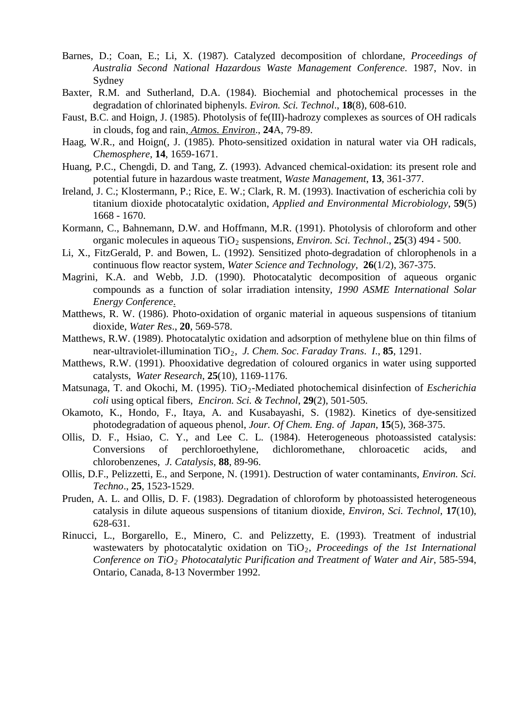- Barnes, D.; Coan, E.; Li, X. (1987). Catalyzed decomposition of chlordane*, Proceedings of Australia Second National Hazardous Waste Management Conference*. 1987, Nov. in Sydney
- Baxter, R.M. and Sutherland, D.A. (1984). Biochemial and photochemical processes in the degradation of chlorinated biphenyls. *Eviron. Sci. Technol*., **18**(8), 608-610.
- Faust, B.C. and Hoign, J. (1985). Photolysis of fe(III)-hadrozy complexes as sources of OH radicals in clouds, fog and rain, *Atmos. Environ*., **24**A, 79-89.
- Haag, W.R., and Hoign(, J. (1985). Photo-sensitized oxidation in natural water via OH radicals, *Chemosphere*, **14**, 1659-1671.
- Huang, P.C., Chengdi, D. and Tang, Z. (1993). Advanced chemical-oxidation: its present role and potential future in hazardous waste treatment, *Waste Management*, **13**, 361-377.
- Ireland, J. C.; Klostermann, P.; Rice, E. W.; Clark, R. M. (1993). Inactivation of escherichia coli by titanium dioxide photocatalytic oxidation, *Applied and Environmental Microbiology*, **59**(5) 1668 - 1670.
- Kormann, C., Bahnemann, D.W. and Hoffmann, M.R. (1991). Photolysis of chloroform and other organic molecules in aqueous TiO<sub>2</sub> suspensions, *Environ. Sci. Technol.*, **25**(3) 494 - 500.
- Li, X., FitzGerald, P. and Bowen, L. (1992). Sensitized photo-degradation of chlorophenols in a continuous flow reactor system, *Water Science and Technology*, **26**(1/2), 367-375.
- Magrini, K.A. and Webb, J.D. (1990). Photocatalytic decomposition of aqueous organic compounds as a function of solar irradiation intensity*, 1990 ASME International Solar Energy Conference*.
- Matthews, R. W. (1986). Photo-oxidation of organic material in aqueous suspensions of titanium dioxide, *Water Res*., **20**, 569-578.
- Matthews, R.W. (1989). Photocatalytic oxidation and adsorption of methylene blue on thin films of near-ultraviolet-illumination TiO2, *J. Chem. Soc*. *Faraday Trans*. *I*., **85**, 1291.
- Matthews, R.W. (1991). Phooxidative degredation of coloured organics in water using supported catalysts, *Water Research*, **25**(10), 1169-1176.
- Matsunaga, T. and Okochi, M. (1995). TiO<sub>2</sub>-Mediated photochemical disinfection of *Escherichia coli* using optical fibers, *Enciron. Sci. & Technol*, **29**(2), 501-505.
- Okamoto, K., Hondo, F., Itaya, A. and Kusabayashi, S. (1982). Kinetics of dye-sensitized photodegradation of aqueous phenol, *Jour. Of Chem. Eng. of Japan*, **15**(5), 368-375.
- Ollis, D. F., Hsiao, C. Y., and Lee C. L. (1984). Heterogeneous photoassisted catalysis: Conversions of perchloroethylene, dichloromethane, chloroacetic acids, and chlorobenzenes, *J. Catalysis*, **88**, 89-96.
- Ollis, D.F., Pelizzetti, E., and Serpone, N. (1991). Destruction of water contaminants*, Environ. Sci. Techno*., **25**, 1523-1529.
- Pruden, A. L. and Ollis, D. F. (1983). Degradation of chloroform by photoassisted heterogeneous catalysis in dilute aqueous suspensions of titanium dioxide, *Environ, Sci. Technol*, **17**(10), 628-631.
- Rinucci, L., Borgarello, E., Minero, C. and Pelizzetty, E. (1993). Treatment of industrial wastewaters by photocatalytic oxidation on TiO<sub>2</sub>, Proceedings of the 1st International *Conference on TiO2 Photocatalytic Purification and Treatment of Water and Air*, 585-594, Ontario, Canada, 8-13 Novermber 1992.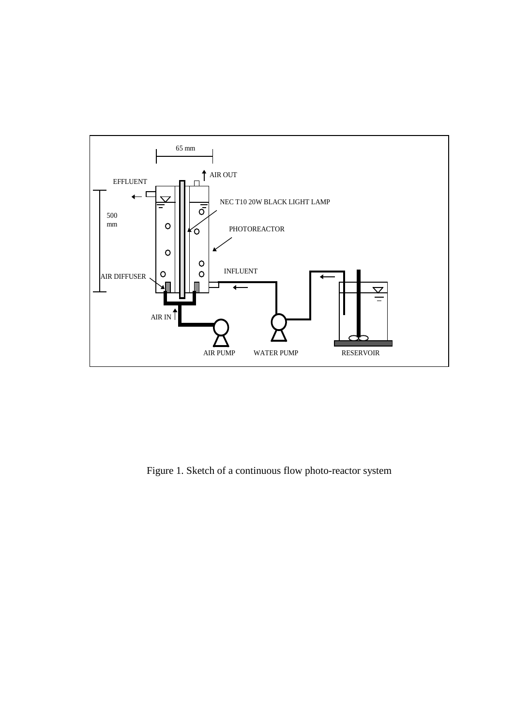

Figure 1. Sketch of a continuous flow photo-reactor system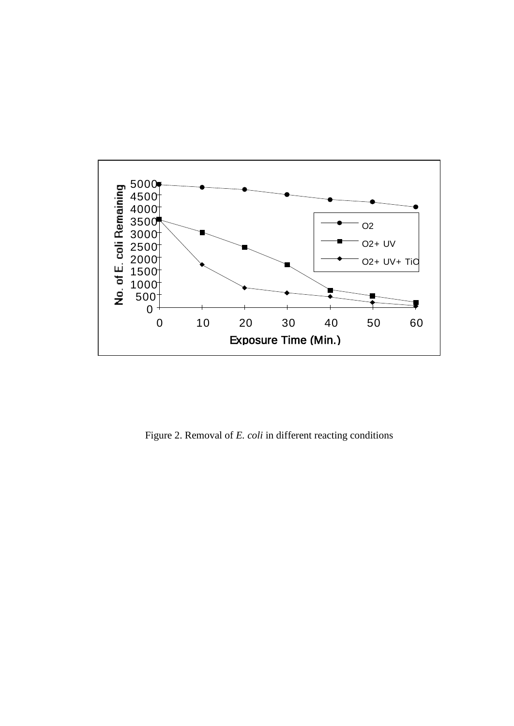

Figure 2. Removal of *E. coli* in different reacting conditions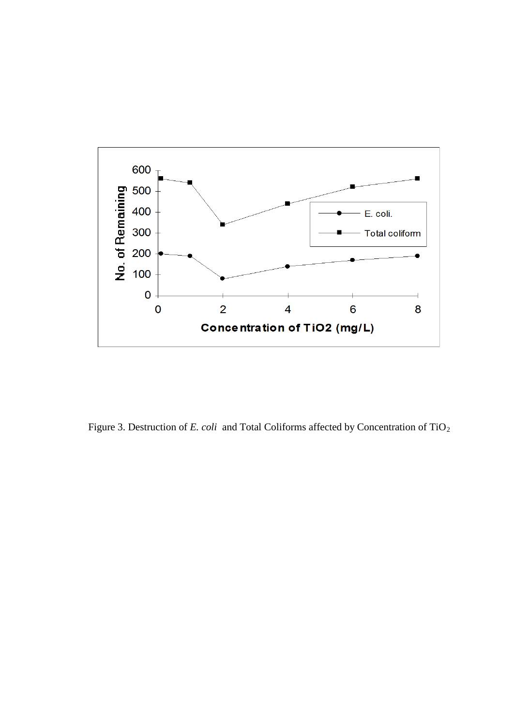

Figure 3. Destruction of *E. coli* and Total Coliforms affected by Concentration of TiO<sub>2</sub>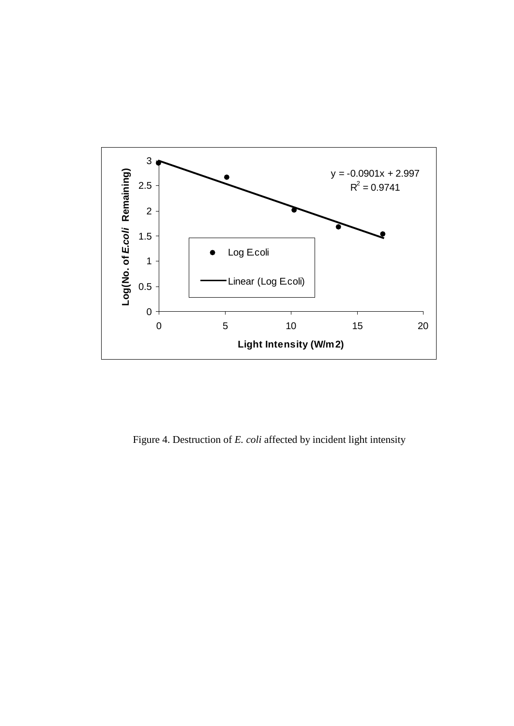

Figure 4. Destruction of *E. coli* affected by incident light intensity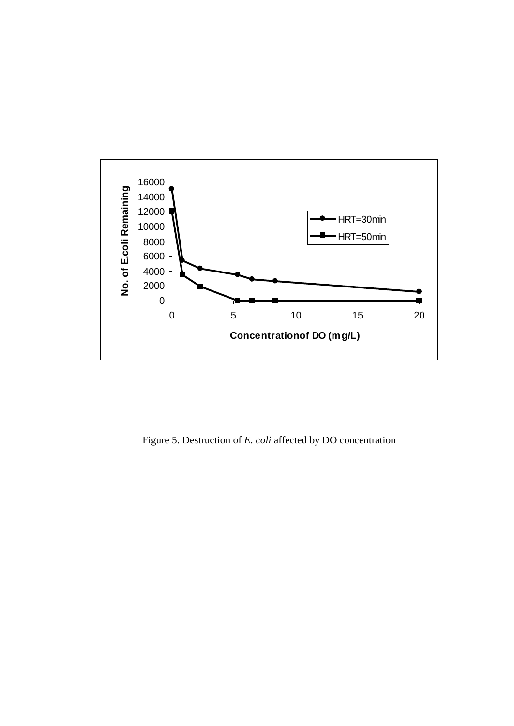

Figure 5. Destruction of *E. coli* affected by DO concentration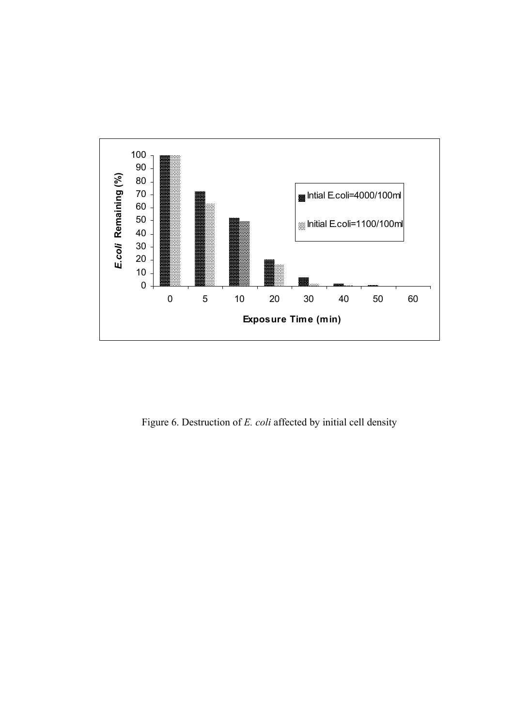

Figure 6. Destruction of *E. coli* affected by initial cell density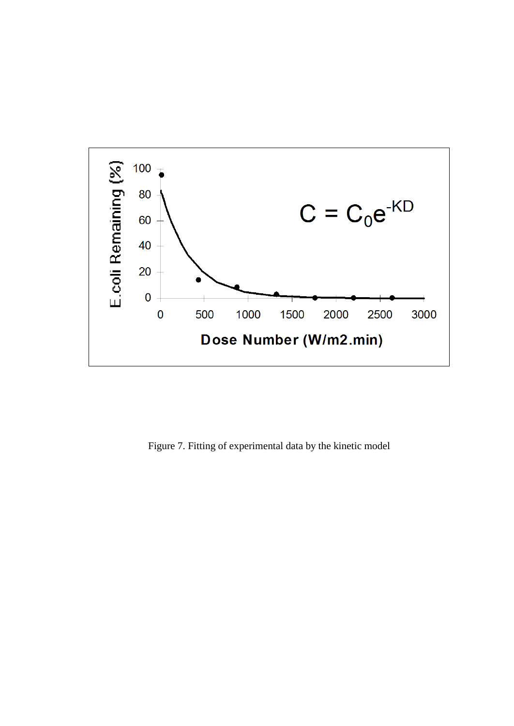

Figure 7. Fitting of experimental data by the kinetic model